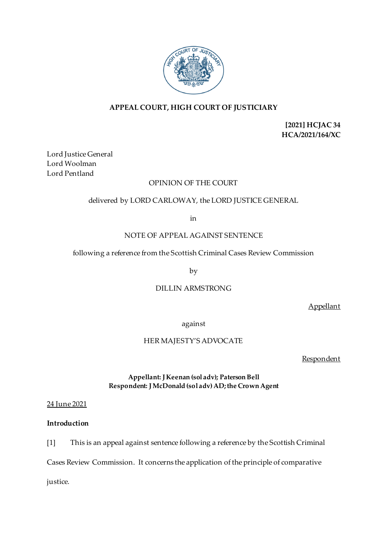

# **APPEAL COURT, HIGH COURT OF JUSTICIARY**

**[2021] HCJAC 34 HCA/2021/164/XC**

Lord Justice General Lord Woolman Lord Pentland

## OPINION OF THE COURT

## delivered by LORD CARLOWAY, the LORD JUSTICE GENERAL

in

## NOTE OF APPEAL AGAINST SENTENCE

## following a reference from the Scottish Criminal Cases Review Commission

by

## DILLIN ARMSTRONG

Appellant

against

## HER MAJESTY'S ADVOCATE

**Respondent** 

## **Appellant: J Keenan (sol adv); Paterson Bell Respondent: J McDonald (sol adv)AD; the Crown Agent**

24 June 2021

# **Introduction**

[1] This is an appeal against sentence following a reference by the Scottish Criminal

Cases Review Commission. It concerns the application of the principle of comparative

justice.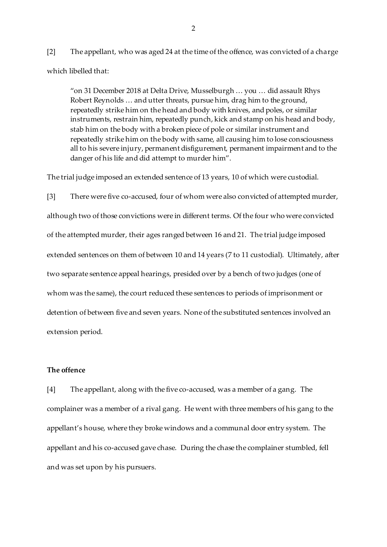[2] The appellant, who was aged 24 at the time of the offence, was convicted of a charge which libelled that:

"on 31 December 2018 at Delta Drive, Musselburgh … you … did assault Rhys Robert Reynolds … and utter threats, pursue him, drag him to the ground, repeatedly strike him on the head and body with knives, and poles, or similar instruments, restrain him, repeatedly punch, kick and stamp on his head and body, stab him on the body with a broken piece of pole or similar instrument and repeatedly strike him on the body with same, all causing him to lose consciousness all to his severe injury, permanent disfigurement, permanent impairment and to the danger of his life and did attempt to murder him".

The trial judge imposed an extended sentence of 13 years, 10 of which were custodial.

[3] There were five co-accused, four of whom were also convicted of attempted murder, although two of those convictions were in different terms. Of the four who were convicted of the attempted murder, their ages ranged between 16 and 21. The trial judge imposed extended sentences on them of between 10 and 14 years (7 to 11 custodial). Ultimately, after two separate sentence appeal hearings, presided over by a bench of two judges (one of whom was the same), the court reduced these sentences to periods of imprisonment or detention of between five and seven years. None of the substituted sentences involved an extension period.

### **The offence**

[4] The appellant, along with the five co-accused, was a member of a gang. The complainer was a member of a rival gang. He went with three members of his gang to the appellant's house, where they broke windows and a communal door entry system. The appellant and his co-accused gave chase. During the chase the complainer stumbled, fell and was set upon by his pursuers.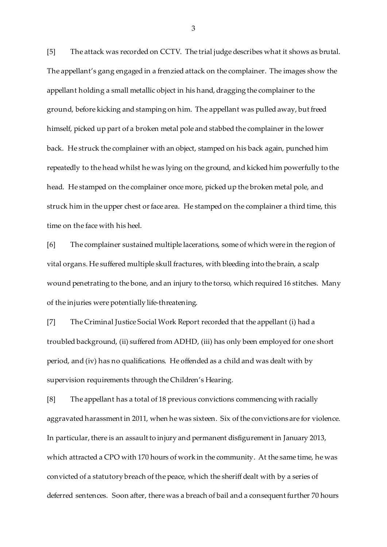[5] The attack was recorded on CCTV. The trial judge describes what it shows as brutal. The appellant's gang engaged in a frenzied attack on the complainer. The images show the appellant holding a small metallic object in his hand, dragging the complainer to the ground, before kicking and stamping on him. The appellant was pulled away, but freed himself, picked up part of a broken metal pole and stabbed the complainer in the lower back. He struck the complainer with an object, stamped on his back again, punched him repeatedly to the head whilst he was lying on the ground, and kicked him powerfully to the head. He stamped on the complainer once more, picked up the broken metal pole, and struck him in the upper chest or face area. He stamped on the complainer a third time, this time on the face with his heel.

[6] The complainer sustained multiple lacerations, some of which were in the region of vital organs. He suffered multiple skull fractures, with bleeding into the brain, a scalp wound penetrating to the bone, and an injury to the torso, which required 16 stitches. Many of the injuries were potentially life-threatening.

[7] The Criminal Justice Social Work Report recorded that the appellant (i) had a troubled background, (ii) suffered from ADHD, (iii) has only been employed for one short period, and (iv) has no qualifications. He offended as a child and was dealt with by supervision requirements through the Children's Hearing.

[8] The appellant has a total of 18 previous convictions commencing with racially aggravated harassment in 2011, when he was sixteen. Six of the convictions are for violence. In particular, there is an assault to injury and permanent disfigurement in January 2013, which attracted a CPO with 170 hours of work in the community. At the same time, he was convicted of a statutory breach of the peace, which the sheriff dealt with by a series of deferred sentences. Soon after, there was a breach of bail and a consequent further 70 hours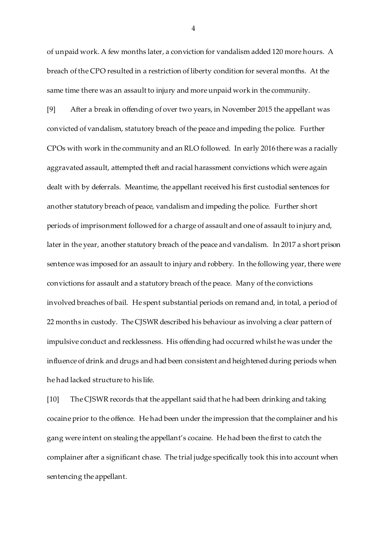of unpaid work. A few months later, a conviction for vandalism added 120 more hours. A breach of the CPO resulted in a restriction of liberty condition for several months. At the same time there was an assault to injury and more unpaid work in the community.

[9] After a break in offending of over two years, in November 2015 the appellant was convicted of vandalism, statutory breach of the peace and impeding the police. Further CPOs with work in the community and an RLO followed. In early 2016 there was a racially aggravated assault, attempted theft and racial harassment convictions which were again dealt with by deferrals. Meantime, the appellant received his first custodial sentences for another statutory breach of peace, vandalism and impeding the police. Further short periods of imprisonment followed for a charge of assault and one of assault to injury and, later in the year, another statutory breach of the peace and vandalism. In 2017 a short prison sentence was imposed for an assault to injury and robbery. In the following year, there were convictions for assault and a statutory breach of the peace. Many of the convictions involved breaches of bail. He spent substantial periods on remand and, in total, a period of 22 months in custody. The CJSWR described his behaviour as involving a clear pattern of impulsive conduct and recklessness. His offending had occurred whilst he was under the influence of drink and drugs and had been consistent and heightened during periods when he had lacked structure to his life.

[10] The CJSWR records that the appellant said that he had been drinking and taking cocaine prior to the offence. He had been under the impression that the complainer and his gang were intent on stealing the appellant's cocaine. He had been the first to catch the complainer after a significant chase. The trial judge specifically took this into account when sentencing the appellant.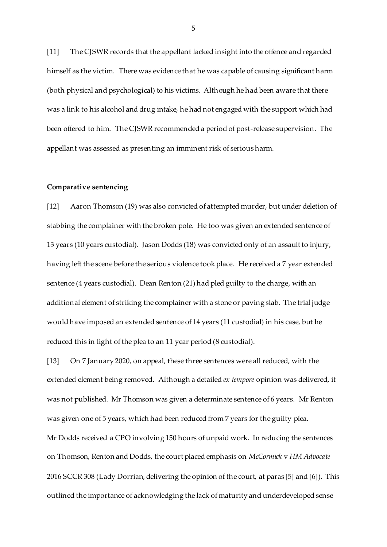[11] The CJSWR records that the appellant lacked insight into the offence and regarded himself as the victim. There was evidence that he was capable of causing significant harm (both physical and psychological) to his victims. Although he had been aware that there was a link to his alcohol and drug intake, he had not engaged with the support which had been offered to him. The CJSWR recommended a period of post-release supervision. The appellant was assessed as presenting an imminent risk of serious harm.

#### **Comparative sentencing**

[12] Aaron Thomson (19) was also convicted of attempted murder, but under deletion of stabbing the complainer with the broken pole. He too was given an extended sentence of 13 years (10 years custodial). Jason Dodds (18) was convicted only of an assault to injury, having left the scene before the serious violence took place. He received a 7 year extended sentence (4 years custodial). Dean Renton (21) had pled guilty to the charge, with an additional element of striking the complainer with a stone or paving slab. The trial judge would have imposed an extended sentence of 14 years (11 custodial) in his case, but he reduced this in light of the plea to an 11 year period (8 custodial).

[13] On 7 January 2020, on appeal, these three sentences were all reduced, with the extended element being removed. Although a detailed *ex tempore* opinion was delivered, it was not published. Mr Thomson was given a determinate sentence of 6 years. Mr Renton was given one of 5 years, which had been reduced from 7 years for the guilty plea. Mr Dodds received a CPO involving 150 hours of unpaid work. In reducing the sentences on Thomson, Renton and Dodds, the court placed emphasis on *McCormick* v *HM Advocate* 2016 SCCR 308 (Lady Dorrian, delivering the opinion of the court, at paras [5] and [6]). This outlined the importance of acknowledging the lack of maturity and underdeveloped sense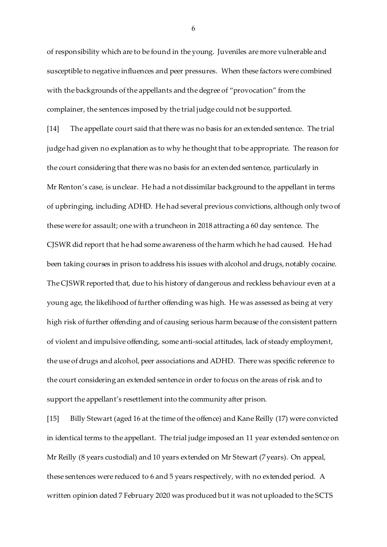of responsibility which are to be found in the young. Juveniles are more vulnerable and susceptible to negative influences and peer pressures. When these factors were combined with the backgrounds of the appellants and the degree of "provocation" from the complainer, the sentences imposed by the trial judge could not be supported.

[14] The appellate court said that there was no basis for an extended sentence. The trial judge had given no explanation as to why he thought that to be appropriate. The reason for the court considering that there was no basis for an extended sentence, particularly in Mr Renton's case, is unclear. He had a not dissimilar background to the appellant in terms of upbringing, including ADHD. He had several previous convictions, although only two of these were for assault; one with a truncheon in 2018 attracting a 60 day sentence. The CJSWR did report that he had some awareness of the harm which he had caused. He had been taking courses in prison to address his issues with alcohol and drugs, notably cocaine. The CJSWR reported that, due to his history of dangerous and reckless behaviour even at a young age, the likelihood of further offending was high. He was assessed as being at very high risk of further offending and of causing serious harm because of the consistent pattern of violent and impulsive offending, some anti-social attitudes, lack of steady employment, the use of drugs and alcohol, peer associations and ADHD. There was specific reference to the court considering an extended sentence in order to focus on the areas of risk and to support the appellant's resettlement into the community after prison.

[15] Billy Stewart (aged 16 at the time of the offence) and Kane Reilly (17) were convicted in identical terms to the appellant. The trial judge imposed an 11 year extended sentence on Mr Reilly (8 years custodial) and 10 years extended on Mr Stewart (7 years). On appeal, these sentences were reduced to 6 and 5 years respectively, with no extended period. A written opinion dated 7 February 2020 was produced but it was not uploaded to the SCTS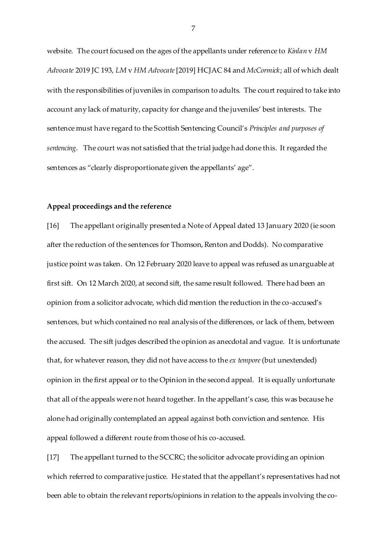website. The court focused on the ages of the appellants under reference to *Kinlan* v *HM Advocate* 2019 JC 193, *LM* v *HM Advocate*[2019] HCJAC 84 and *McCormick*; all of which dealt with the responsibilities of juveniles in comparison to adults. The court required to take into account any lack of maturity, capacity for change and the juveniles' best interests. The sentence must have regard to the Scottish Sentencing Council's *Principles and purposes of sentencing*. The court was not satisfied that the trial judge had done this. It regarded the sentences as "clearly disproportionate given the appellants' age".

#### **Appeal proceedings and the reference**

[16] The appellant originally presented a Note of Appeal dated 13 January 2020 (ie soon after the reduction of the sentences for Thomson, Renton and Dodds). No comparative justice point was taken. On 12 February 2020 leave to appeal was refused as unarguable at first sift. On 12 March 2020, at second sift, the same result followed. There had been an opinion from a solicitor advocate, which did mention the reduction in the co-accused's sentences, but which contained no real analysis of the differences, or lack of them, between the accused. The sift judges described the opinion as anecdotal and vague. It is unfortunate that, for whatever reason, they did not have access to the *ex tempore*(but unextended) opinion in the first appeal or to the Opinion in the second appeal. It is equally unfortunate that all of the appeals were not heard together. In the appellant's case, this was because he alone had originally contemplated an appeal against both conviction and sentence. His appeal followed a different route from those of his co-accused.

[17] The appellant turned to the SCCRC; the solicitor advocate providing an opinion which referred to comparative justice. He stated that the appellant's representatives had not been able to obtain the relevant reports/opinions in relation to the appeals involving the co-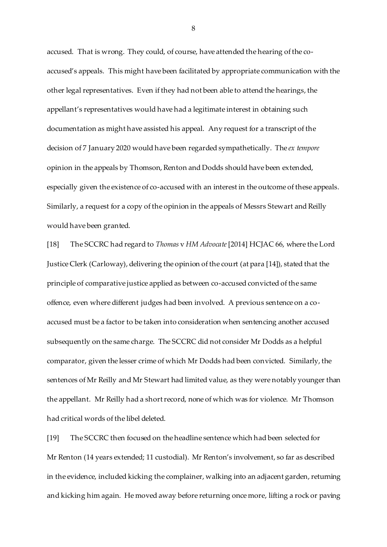accused. That is wrong. They could, of course, have attended the hearing of the coaccused's appeals. This might have been facilitated by appropriate communication with the other legal representatives. Even if they had not been able to attend the hearings, the appellant's representatives would have had a legitimate interest in obtaining such documentation as might have assisted his appeal. Any request for a transcript of the decision of 7 January 2020 would have been regarded sympathetically. The *ex tempore* opinion in the appeals by Thomson, Renton and Dodds should have been extended, especially given the existence of co-accused with an interest in the outcome of these appeals. Similarly, a request for a copy of the opinion in the appeals of Messrs Stewart and Reilly would have been granted.

[18] The SCCRC had regard to *Thomas* v *HM Advocate*[2014] HCJAC 66, where the Lord Justice Clerk (Carloway), delivering the opinion of the court (at para [14]), stated that the principle of comparative justice applied as between co-accused convicted of the same offence, even where different judges had been involved. A previous sentence on a coaccused must be a factor to be taken into consideration when sentencing another accused subsequently on the same charge. The SCCRC did not consider Mr Dodds as a helpful comparator, given the lesser crime of which Mr Dodds had been convicted. Similarly, the sentences of Mr Reilly and Mr Stewart had limited value, as they were notably younger than the appellant. Mr Reilly had a short record, none of which was for violence. Mr Thomson had critical words of the libel deleted.

[19] The SCCRC then focused on the headline sentence which had been selected for Mr Renton (14 years extended; 11 custodial). Mr Renton's involvement, so far as described in the evidence, included kicking the complainer, walking into an adjacent garden, returning and kicking him again. He moved away before returning once more, lifting a rock or paving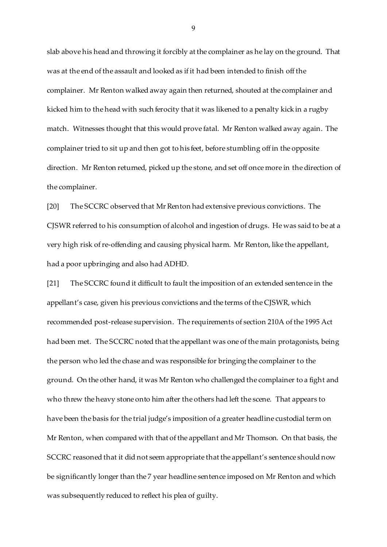slab above his head and throwing it forcibly at the complainer as he lay on the ground. That was at the end of the assault and looked as if it had been intended to finish off the complainer. Mr Renton walked away again then returned, shouted at the complainer and kicked him to the head with such ferocity that it was likened to a penalty kick in a rugby match. Witnesses thought that this would prove fatal. Mr Renton walked away again. The complainer tried to sit up and then got to his feet, before stumbling off in the opposite direction. Mr Renton returned, picked up the stone, and set off once more in the direction of the complainer.

[20] The SCCRC observed that Mr Renton had extensive previous convictions. The CJSWR referred to his consumption of alcohol and ingestion of drugs. He was said to be at a very high risk of re-offending and causing physical harm. Mr Renton, like the appellant, had a poor upbringing and also had ADHD.

[21] The SCCRC found it difficult to fault the imposition of an extended sentence in the appellant's case, given his previous convictions and the terms of the CJSWR, which recommended post-release supervision. The requirements of section 210A of the 1995 Act had been met. The SCCRC noted that the appellant was one of the main protagonists, being the person who led the chase and was responsible for bringing the complainer to the ground. On the other hand, it was Mr Renton who challenged the complainer to a fight and who threw the heavy stone onto him after the others had left the scene. That appears to have been the basis for the trial judge's imposition of a greater headline custodial term on Mr Renton, when compared with that of the appellant and Mr Thomson. On that basis, the SCCRC reasoned that it did not seem appropriate that the appellant's sentence should now be significantly longer than the 7 year headline sentence imposed on Mr Renton and which was subsequently reduced to reflect his plea of guilty.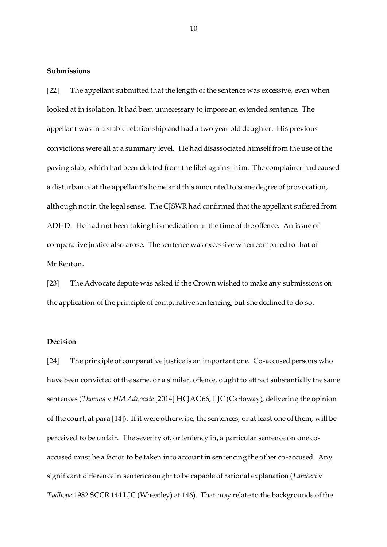#### **Submissions**

[22] The appellant submitted that the length of the sentence was excessive, even when looked at in isolation. It had been unnecessary to impose an extended sentence. The appellant was in a stable relationship and had a two year old daughter. His previous convictions were all at a summary level. He had disassociated himself from the use of the paving slab, which had been deleted from the libel against him. The complainer had caused a disturbance at the appellant's home and this amounted to some degree of provocation, although not in the legal sense. The CJSWR had confirmed that the appellant suffered from ADHD. He had not been taking his medication at the time of the offence. An issue of comparative justice also arose. The sentence was excessive when compared to that of Mr Renton.

[23] The Advocate depute was asked if the Crown wished to make any submissions on the application of the principle of comparative sentencing, but she declined to do so.

### **Decision**

[24] The principle of comparative justice is an important one. Co-accused persons who have been convicted of the same, or a similar, offence, ought to attract substantially the same sentences (*Thomas* v *HM Advocate*[2014] HCJAC 66, LJC (Carloway), delivering the opinion of the court, at para [14]). If it were otherwise, the sentences, or at least one of them, will be perceived to be unfair. The severity of, or leniency in, a particular sentence on one coaccused must be a factor to be taken into account in sentencing the other co-accused. Any significant difference in sentence ought to be capable of rational explanation (*Lambert* v *Tudhope* 1982 SCCR 144 LJC (Wheatley) at 146). That may relate to the backgrounds of the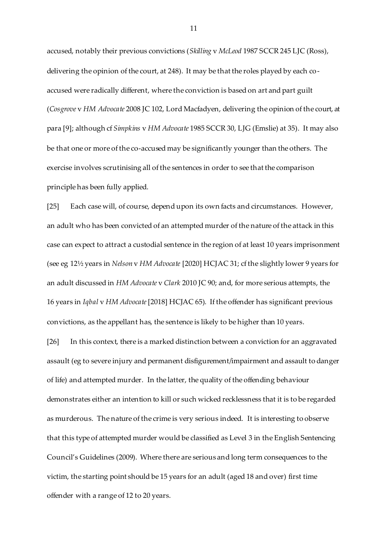accused, notably their previous convictions (*Skilling* v *McLeod* 1987 SCCR 245 LJC (Ross), delivering the opinion of the court, at 248). It may be that the roles played by each coaccused were radically different, where the conviction is based on art and part guilt (*Cosgrove* v *HM Advocate* 2008 JC 102, Lord Macfadyen, delivering the opinion of the court, at para [9]; although cf *Simpkins* v *HM Advocate* 1985 SCCR 30, LJG (Emslie) at 35). It may also be that one or more of the co-accused may be significantly younger than the others. The exercise involves scrutinising all of the sentences in order to see that the comparison principle has been fully applied.

[25] Each case will, of course, depend upon its own facts and circumstances. However, an adult who has been convicted of an attempted murder of the nature of the attack in this case can expect to attract a custodial sentence in the region of at least 10 years imprisonment (see eg 12½ years in *Nelson* v *HM Advocate* [2020] HCJAC 31; cf the slightly lower 9 years for an adult discussed in *HM Advocate* v *Clark* 2010 JC 90; and, for more serious attempts, the 16 years in *Iqbal* v *HM Advocate*[2018] HCJAC 65). If the offender has significant previous convictions, as the appellant has, the sentence is likely to be higher than 10 years.

[26] In this context, there is a marked distinction between a conviction for an aggravated assault (eg to severe injury and permanent disfigurement/impairment and assault to danger of life) and attempted murder. In the latter, the quality of the offending behaviour demonstrates either an intention to kill or such wicked recklessness that it is to be regarded as murderous. The nature of the crime is very serious indeed. It is interesting to observe that this type of attempted murder would be classified as Level 3 in the English Sentencing Council's Guidelines (2009). Where there are serious and long term consequences to the victim, the starting point should be 15 years for an adult (aged 18 and over) first time offender with a range of 12 to 20 years.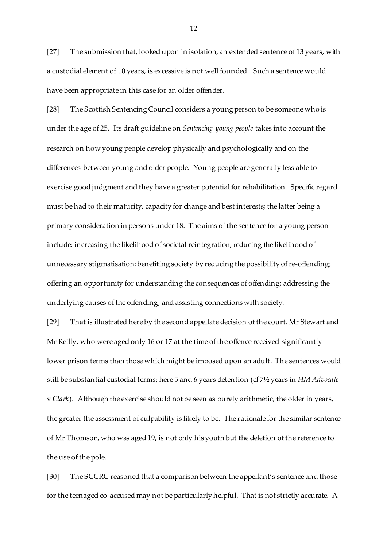[27] The submission that, looked upon in isolation, an extended sentence of 13 years, with a custodial element of 10 years, is excessive is not well founded. Such a sentence would have been appropriate in this case for an older offender.

[28] The Scottish Sentencing Council considers a young person to be someone who is under the age of 25. Its draft guideline on *Sentencing young people* takes into account the research on how young people develop physically and psychologically and on the differences between young and older people. Young people are generally less able to exercise good judgment and they have a greater potential for rehabilitation. Specific regard must be had to their maturity, capacity for change and best interests; the latter being a primary consideration in persons under 18. The aims of the sentence for a young person include: increasing the likelihood of societal reintegration; reducing the likelihood of unnecessary stigmatisation; benefiting society by reducing the possibility of re-offending; offering an opportunity for understanding the consequences of offending; addressing the underlying causes of the offending; and assisting connections with society.

[29] That is illustrated here by the second appellate decision of the court. Mr Stewart and Mr Reilly, who were aged only 16 or 17 at the time of the offence received significantly lower prison terms than those which might be imposed upon an adult. The sentences would still be substantial custodial terms; here 5 and 6 years detention (cf 7½ years in *HM Advocate*  v *Clark*). Although the exercise should not be seen as purely arithmetic, the older in years, the greater the assessment of culpability is likely to be. The rationale for the similar sentence of Mr Thomson, who was aged 19, is not only his youth but the deletion of the reference to the use of the pole.

[30] The SCCRC reasoned that a comparison between the appellant's sentence and those for the teenaged co-accused may not be particularly helpful. That is not strictly accurate. A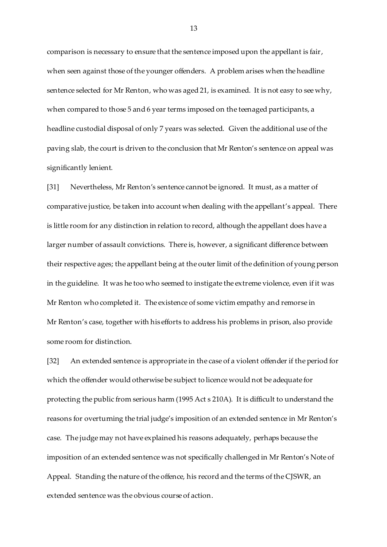comparison is necessary to ensure that the sentence imposed upon the appellant is fair, when seen against those of the younger offenders. A problem arises when the headline sentence selected for Mr Renton, who was aged 21, is examined. It is not easy to see why, when compared to those 5 and 6 year terms imposed on the teenaged participants, a headline custodial disposal of only 7 years was selected. Given the additional use of the paving slab, the court is driven to the conclusion that Mr Renton's sentence on appeal was significantly lenient.

[31] Nevertheless, Mr Renton's sentence cannot be ignored. It must, as a matter of comparative justice, be taken into account when dealing with the appellant's appeal. There is little room for any distinction in relation to record, although the appellant does have a larger number of assault convictions. There is, however, a significant difference between their respective ages; the appellant being at the outer limit of the definition of young person in the guideline. It was he too who seemed to instigate the extreme violence, even if it was Mr Renton who completed it. The existence of some victim empathy and remorse in Mr Renton's case, together with his efforts to address his problems in prison, also provide some room for distinction.

[32] An extended sentence is appropriate in the case of a violent offender if the period for which the offender would otherwise be subject to licence would not be adequate for protecting the public from serious harm (1995 Act s 210A). It is difficult to understand the reasons for overturning the trial judge's imposition of an extended sentence in Mr Renton's case. The judge may not have explained his reasons adequately, perhaps because the imposition of an extended sentence was not specifically challenged in Mr Renton's Note of Appeal. Standing the nature of the offence, his record and the terms of the CJSWR, an extended sentence was the obvious course of action.